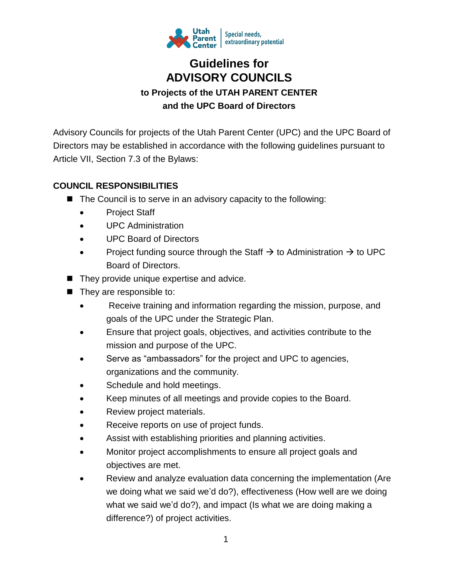

# **Guidelines for ADVISORY COUNCILS to Projects of the UTAH PARENT CENTER and the UPC Board of Directors**

Advisory Councils for projects of the Utah Parent Center (UPC) and the UPC Board of Directors may be established in accordance with the following guidelines pursuant to Article VII, Section 7.3 of the Bylaws:

## **COUNCIL RESPONSIBILITIES**

- $\blacksquare$  The Council is to serve in an advisory capacity to the following:
	- Project Staff
	- UPC Administration
	- UPC Board of Directors
	- Project funding source through the Staff  $\rightarrow$  to Administration  $\rightarrow$  to UPC Board of Directors.
- $\blacksquare$  They provide unique expertise and advice.
- $\blacksquare$  They are responsible to:
	- Receive training and information regarding the mission, purpose, and goals of the UPC under the Strategic Plan.
	- Ensure that project goals, objectives, and activities contribute to the mission and purpose of the UPC.
	- Serve as "ambassadors" for the project and UPC to agencies, organizations and the community.
	- Schedule and hold meetings.
	- Keep minutes of all meetings and provide copies to the Board.
	- Review project materials.
	- Receive reports on use of project funds.
	- Assist with establishing priorities and planning activities.
	- Monitor project accomplishments to ensure all project goals and objectives are met.
	- Review and analyze evaluation data concerning the implementation (Are we doing what we said we'd do?), effectiveness (How well are we doing what we said we'd do?), and impact (Is what we are doing making a difference?) of project activities.